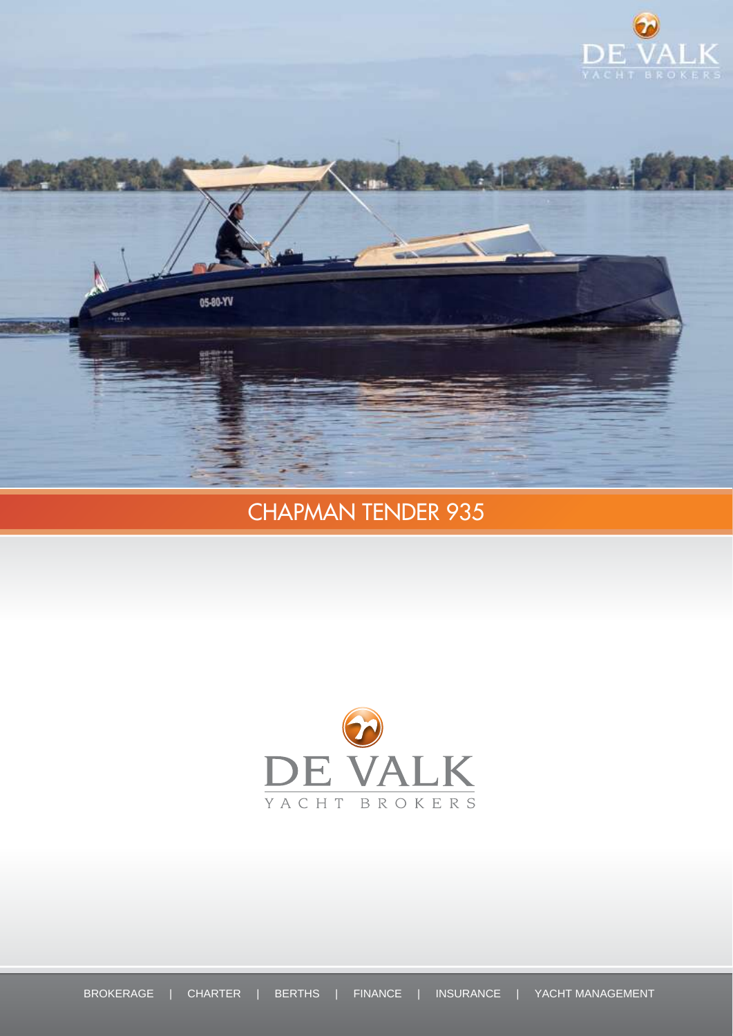

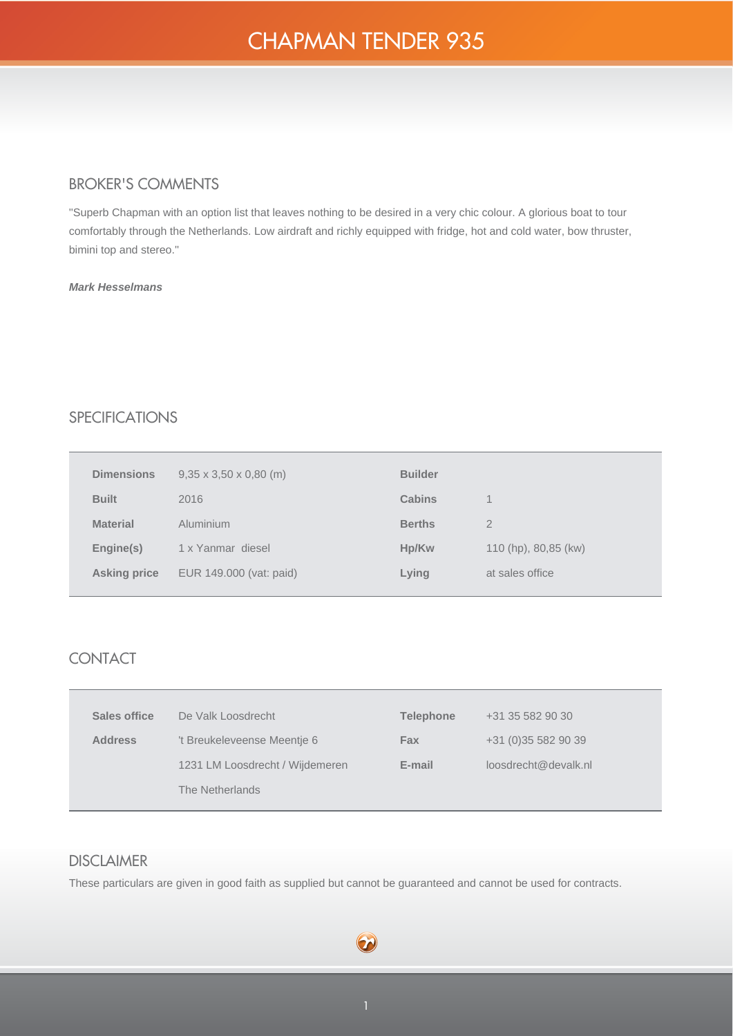#### **BROKER'S COMMENTS**

''Superb Chapman with an option list that leaves nothing to be desired in a very chic colour. A glorious boat to tour comfortably through the Netherlands. Low airdraft and richly equipped with fridge, hot and cold water, bow thruster, bimini top and stereo.''

#### **Mark Hesselmans**

#### **SPECIFICATIONS**

| <b>Dimensions</b>   | $9,35 \times 3,50 \times 0,80$ (m) | <b>Builder</b> |                      |
|---------------------|------------------------------------|----------------|----------------------|
| <b>Built</b>        | 2016                               | <b>Cabins</b>  | 1                    |
| <b>Material</b>     | Aluminium                          | <b>Berths</b>  | $\overline{2}$       |
| Engine(s)           | 1 x Yanmar diesel                  | Hp/Kw          | 110 (hp), 80,85 (kw) |
| <b>Asking price</b> | EUR 149.000 (vat: paid)            | Lying          | at sales office      |
|                     |                                    |                |                      |

#### **CONTACT**

| Sales office   | De Valk Loosdrecht              | <b>Telephone</b> | +31 35 582 90 30     |
|----------------|---------------------------------|------------------|----------------------|
| <b>Address</b> | 't Breukeleveense Meentje 6     | <b>Fax</b>       | +31 (0) 35 582 90 39 |
|                | 1231 LM Loosdrecht / Wijdemeren | E-mail           | loosdrecht@devalk.nl |
|                | The Netherlands                 |                  |                      |

#### **DISCLAIMER**

These particulars are given in good faith as supplied but cannot be guaranteed and cannot be used for contracts.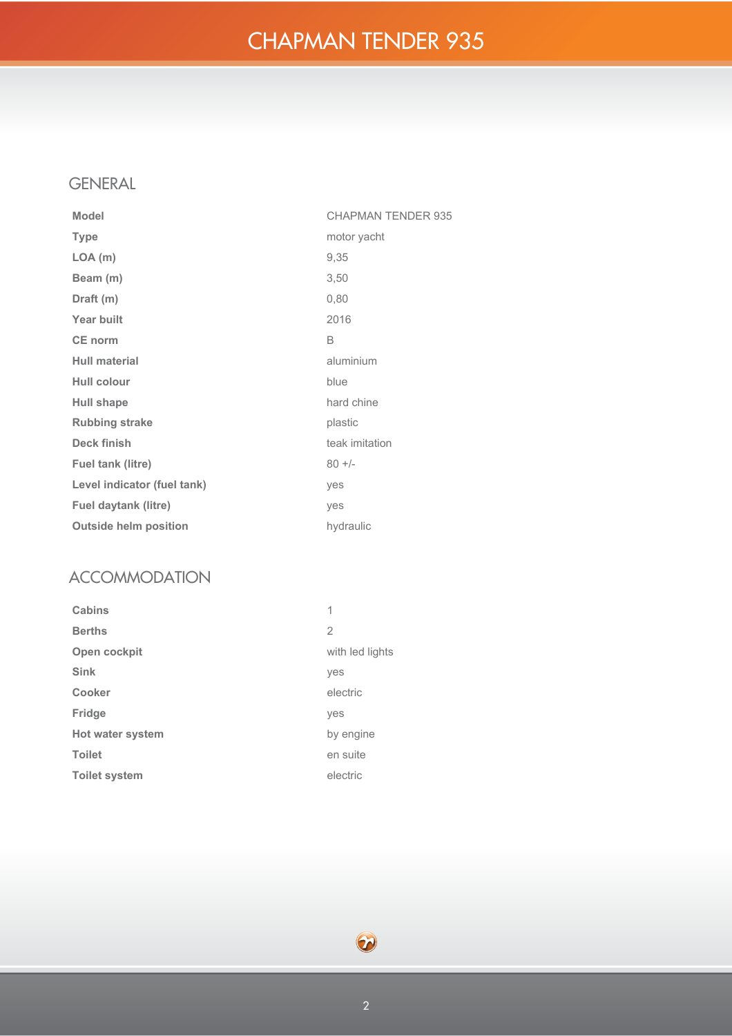#### **GENERAL**

| <b>Model</b>                 | <b>CHAPMAN TENDER 935</b> |
|------------------------------|---------------------------|
| <b>Type</b>                  | motor yacht               |
| $LOA$ (m)                    | 9,35                      |
| Beam (m)                     | 3,50                      |
| Draft (m)                    | 0,80                      |
| <b>Year built</b>            | 2016                      |
| <b>CE</b> norm               | B                         |
| <b>Hull material</b>         | aluminium                 |
| <b>Hull colour</b>           | blue                      |
| <b>Hull shape</b>            | hard chine                |
| <b>Rubbing strake</b>        | plastic                   |
| <b>Deck finish</b>           | teak imitation            |
| Fuel tank (litre)            | $80 +/-$                  |
| Level indicator (fuel tank)  | ves                       |
| Fuel daytank (litre)         | yes                       |
| <b>Outside helm position</b> | hydraulic                 |

### **ACCOMMODATION**

| <b>Cabins</b>        | 1               |
|----------------------|-----------------|
| <b>Berths</b>        | $\overline{2}$  |
| Open cockpit         | with led lights |
| <b>Sink</b>          | yes             |
| Cooker               | electric        |
| Fridge               | yes             |
| Hot water system     | by engine       |
| <b>Toilet</b>        | en suite        |
| <b>Toilet system</b> | electric        |

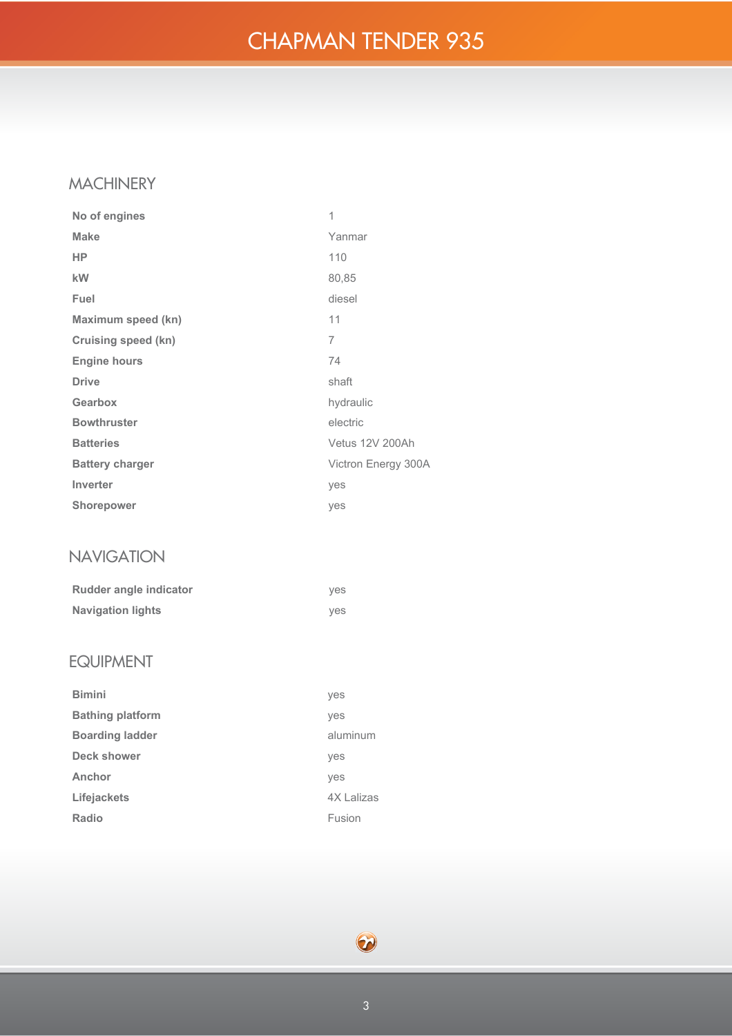#### **MACHINERY**

| No of engines          | 1                   |
|------------------------|---------------------|
| <b>Make</b>            | Yanmar              |
| HP                     | 110                 |
| kW                     | 80,85               |
| Fuel                   | diesel              |
| Maximum speed (kn)     | 11                  |
| Cruising speed (kn)    | 7                   |
| <b>Engine hours</b>    | 74                  |
| <b>Drive</b>           | shaft               |
| <b>Gearbox</b>         | hydraulic           |
| <b>Bowthruster</b>     | electric            |
| <b>Batteries</b>       | Vetus 12V 200Ah     |
| <b>Battery charger</b> | Victron Energy 300A |
| Inverter               | yes                 |
| Shorepower             | yes                 |

#### **NAVIGATION**

| Rudder angle indicator   | ves |
|--------------------------|-----|
| <b>Navigation lights</b> | ves |

#### **EQUIPMENT**

| <b>Bimini</b>           | yes        |
|-------------------------|------------|
| <b>Bathing platform</b> | yes        |
| <b>Boarding ladder</b>  | aluminum   |
| Deck shower             | yes        |
| Anchor                  | yes        |
| Lifejackets             | 4X Lalizas |
| Radio                   | Fusion     |

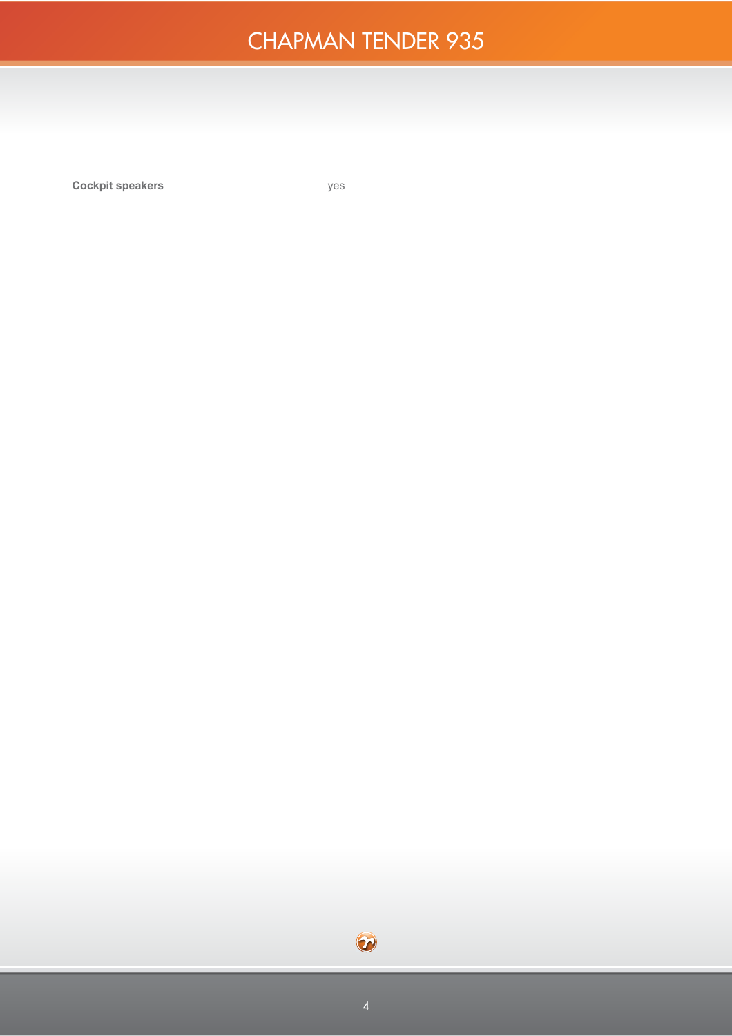**Cockpit speakers** 

yes

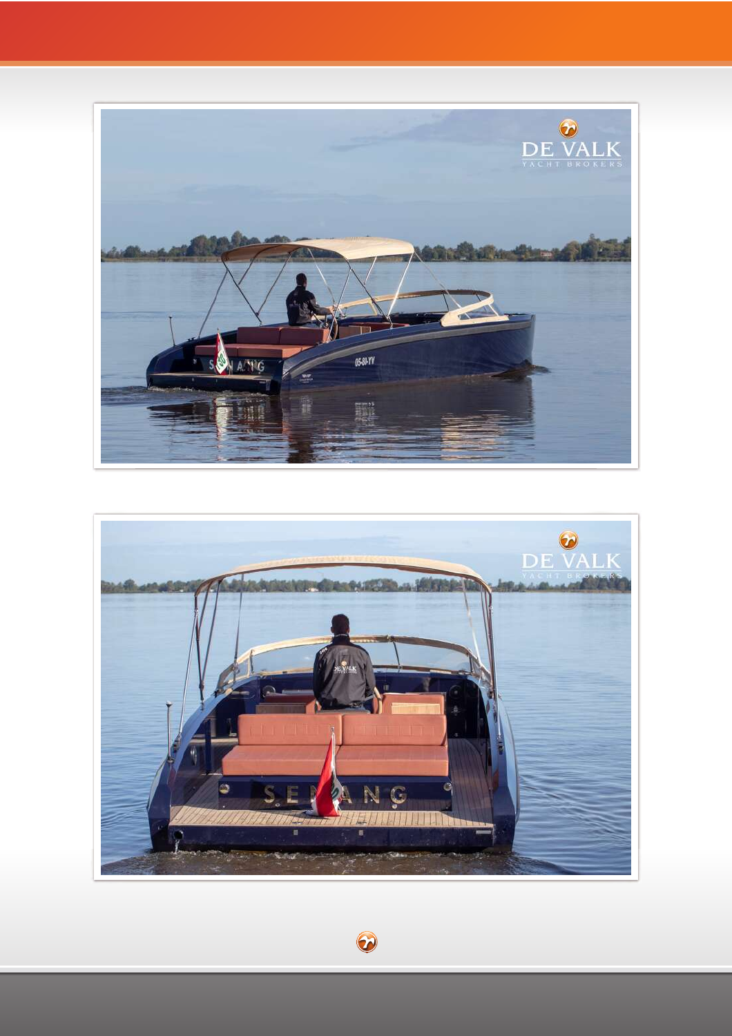# $8 + $30 $1 7 (1'(5$



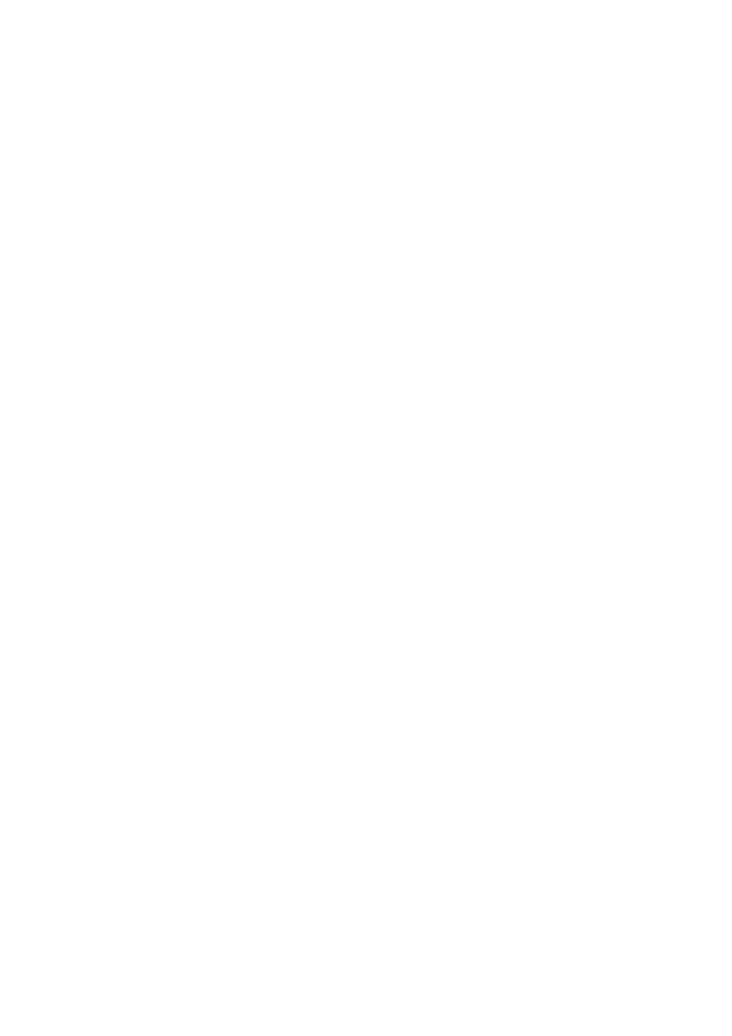| ---- |  |
|------|--|
|      |  |
|      |  |
|      |  |
|      |  |
|      |  |
|      |  |
|      |  |
|      |  |
|      |  |
|      |  |
|      |  |
|      |  |
|      |  |
|      |  |
|      |  |
|      |  |
|      |  |
|      |  |
|      |  |
|      |  |
|      |  |
|      |  |
|      |  |
|      |  |
|      |  |
|      |  |
|      |  |
|      |  |
|      |  |
|      |  |
|      |  |
|      |  |
|      |  |
|      |  |
|      |  |
|      |  |
|      |  |
|      |  |
|      |  |
|      |  |
|      |  |
|      |  |
|      |  |
|      |  |
|      |  |
|      |  |
|      |  |
|      |  |
|      |  |
|      |  |
|      |  |
|      |  |
|      |  |
|      |  |
|      |  |
|      |  |
|      |  |
|      |  |

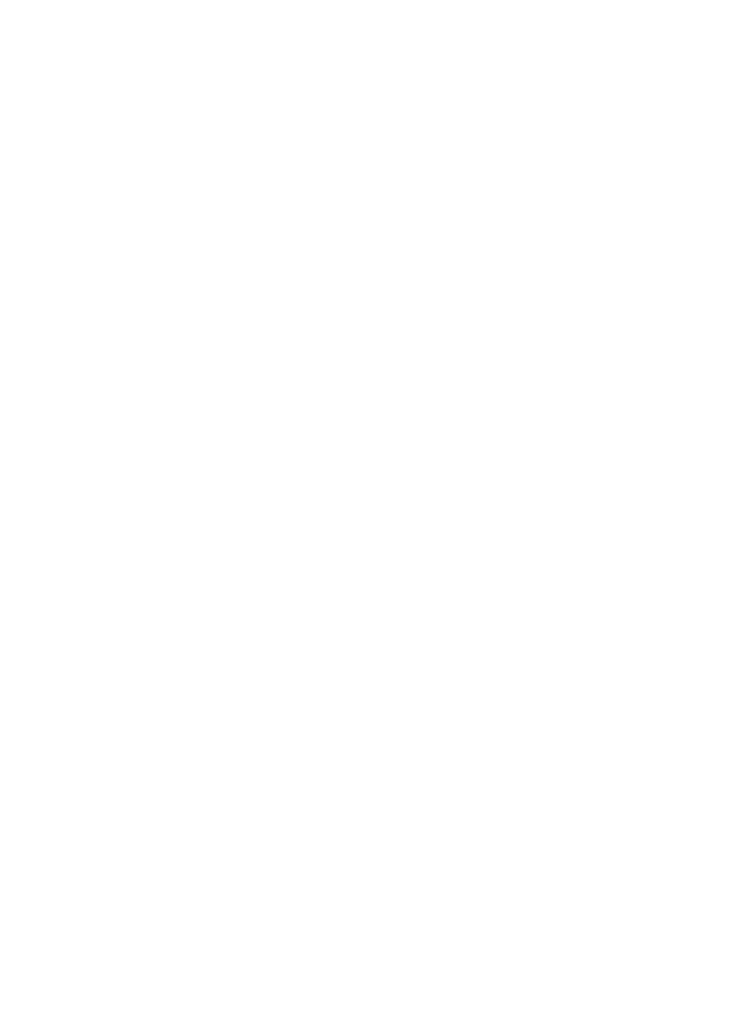| ---- |  |
|------|--|
|      |  |
|      |  |
|      |  |
|      |  |
|      |  |
|      |  |
|      |  |
|      |  |
|      |  |
|      |  |
|      |  |
|      |  |
|      |  |
|      |  |
|      |  |
|      |  |
|      |  |
|      |  |
|      |  |
|      |  |
|      |  |
|      |  |
|      |  |
|      |  |
|      |  |
|      |  |
|      |  |
|      |  |
|      |  |
|      |  |
|      |  |
|      |  |
|      |  |
|      |  |
|      |  |
|      |  |
|      |  |
|      |  |
|      |  |
|      |  |
|      |  |
|      |  |
|      |  |
|      |  |
|      |  |
|      |  |
|      |  |
|      |  |
|      |  |
|      |  |
|      |  |
|      |  |
|      |  |
|      |  |
|      |  |
|      |  |
|      |  |
|      |  |

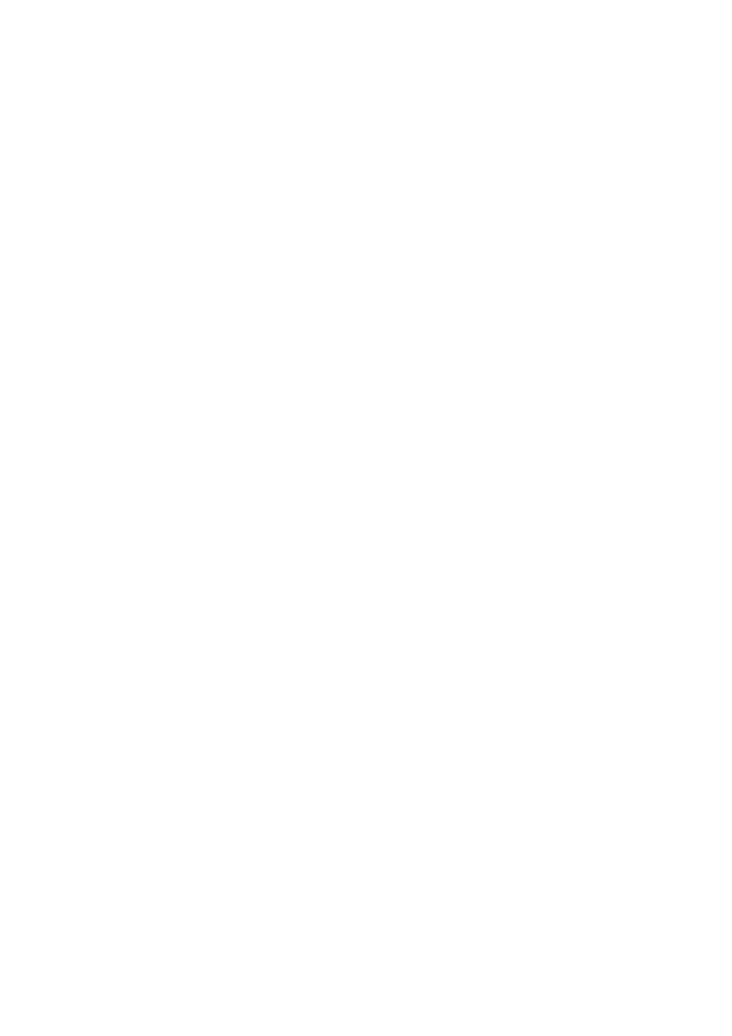| ---- |  |
|------|--|
|      |  |
|      |  |
|      |  |
|      |  |
|      |  |
|      |  |
|      |  |
|      |  |
|      |  |
|      |  |
|      |  |
|      |  |
|      |  |
|      |  |
|      |  |
|      |  |
|      |  |
|      |  |
|      |  |
|      |  |
|      |  |
|      |  |
|      |  |
|      |  |
|      |  |
|      |  |
|      |  |
|      |  |
|      |  |
|      |  |
|      |  |
|      |  |
|      |  |
|      |  |
|      |  |
|      |  |
|      |  |
|      |  |
|      |  |
|      |  |
|      |  |
|      |  |
|      |  |
|      |  |
|      |  |
|      |  |
|      |  |
|      |  |
|      |  |
|      |  |
|      |  |
|      |  |
|      |  |
|      |  |
|      |  |
|      |  |
|      |  |
|      |  |

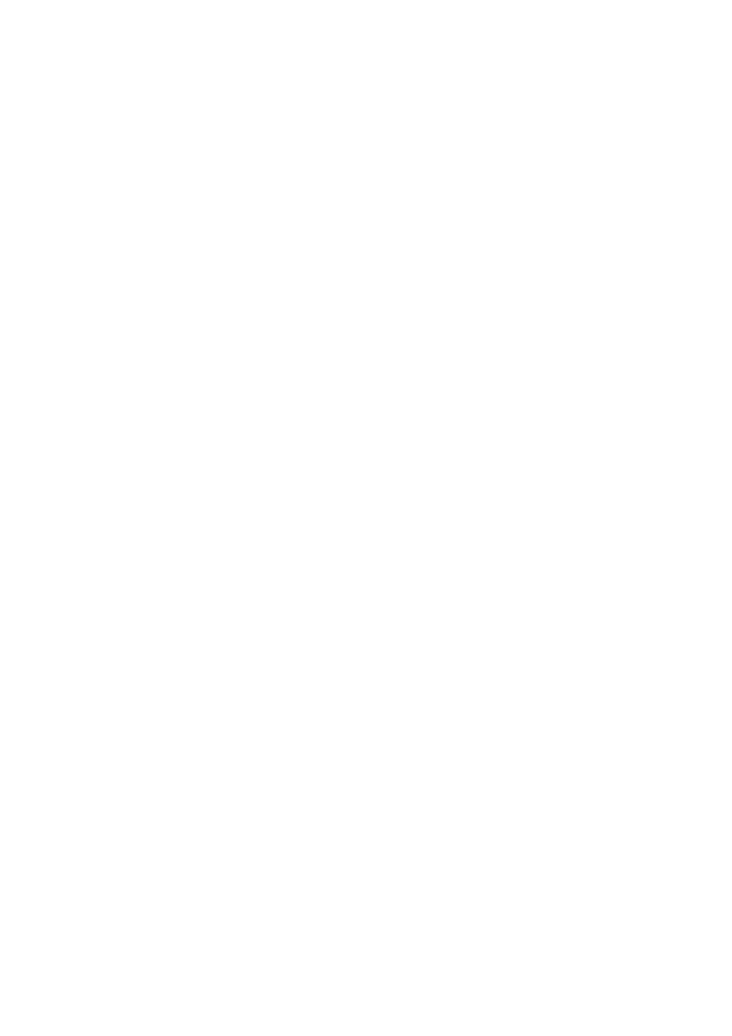| ---- |  |
|------|--|
|      |  |
|      |  |
|      |  |
|      |  |
|      |  |
|      |  |
|      |  |
|      |  |
|      |  |
|      |  |
|      |  |
|      |  |
|      |  |
|      |  |
|      |  |
|      |  |
|      |  |
|      |  |
|      |  |
|      |  |
|      |  |
|      |  |
|      |  |
|      |  |
|      |  |
|      |  |
|      |  |
|      |  |
|      |  |
|      |  |
|      |  |
|      |  |
|      |  |
|      |  |
|      |  |
|      |  |
|      |  |
|      |  |
|      |  |
|      |  |
|      |  |
|      |  |
|      |  |
|      |  |
|      |  |
|      |  |
|      |  |
|      |  |
|      |  |
|      |  |
|      |  |
|      |  |
|      |  |
|      |  |
|      |  |
|      |  |
|      |  |
|      |  |

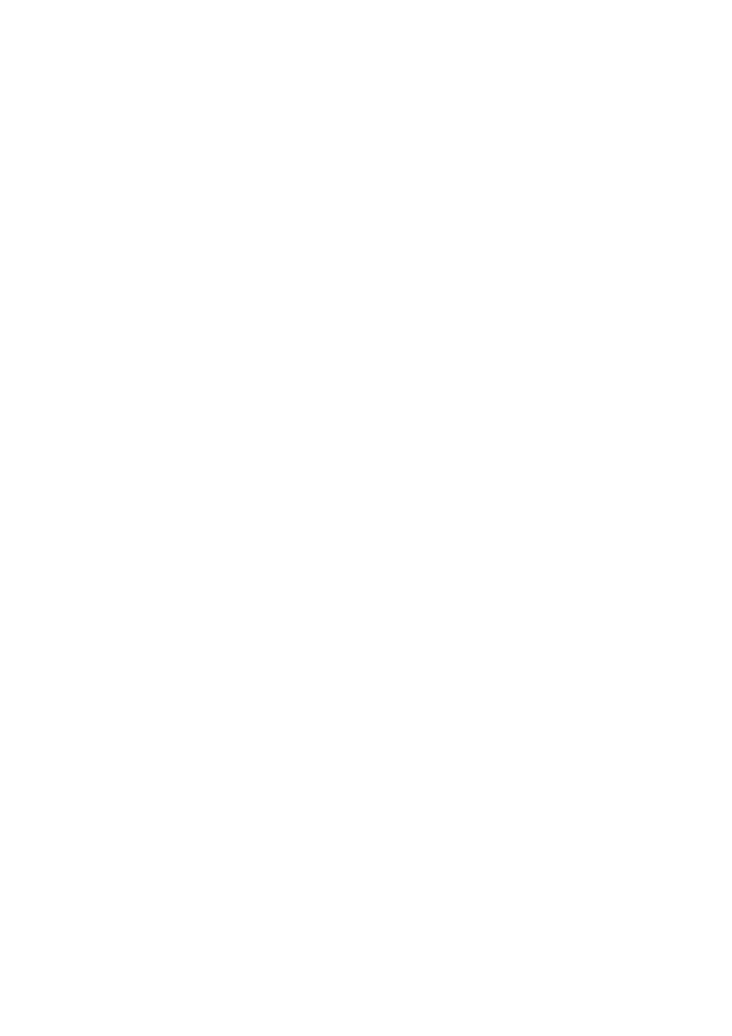| ---- |  |
|------|--|
|      |  |
|      |  |
|      |  |
|      |  |
|      |  |
|      |  |
|      |  |
|      |  |
|      |  |
|      |  |
|      |  |
|      |  |
|      |  |
|      |  |
|      |  |
|      |  |
|      |  |
|      |  |
|      |  |
|      |  |
|      |  |
|      |  |
|      |  |
|      |  |
|      |  |
|      |  |
|      |  |
|      |  |
|      |  |
|      |  |
|      |  |
|      |  |
|      |  |
|      |  |
|      |  |
|      |  |
|      |  |
|      |  |
|      |  |
|      |  |
|      |  |
|      |  |
|      |  |
|      |  |
|      |  |
|      |  |
|      |  |
|      |  |
|      |  |
|      |  |
|      |  |
|      |  |
|      |  |
|      |  |
|      |  |
|      |  |
|      |  |
|      |  |

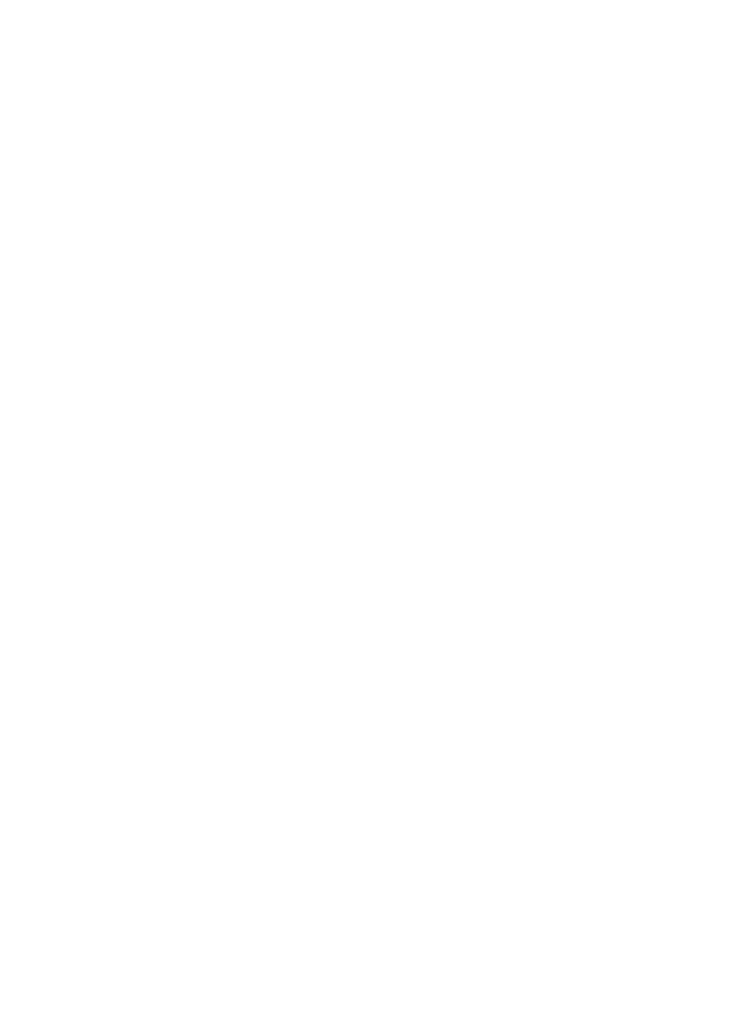| ---- |  |
|------|--|
|      |  |
|      |  |
|      |  |
|      |  |
|      |  |
|      |  |
|      |  |
|      |  |
|      |  |
|      |  |
|      |  |
|      |  |
|      |  |
|      |  |
|      |  |
|      |  |
|      |  |
|      |  |
|      |  |
|      |  |
|      |  |
|      |  |
|      |  |
|      |  |
|      |  |
|      |  |
|      |  |
|      |  |
|      |  |
|      |  |
|      |  |
|      |  |
|      |  |
|      |  |
|      |  |
|      |  |
|      |  |
|      |  |
|      |  |
|      |  |
|      |  |
|      |  |
|      |  |
|      |  |
|      |  |
|      |  |
|      |  |
|      |  |
|      |  |
|      |  |
|      |  |
|      |  |
|      |  |
|      |  |
|      |  |
|      |  |
|      |  |
|      |  |

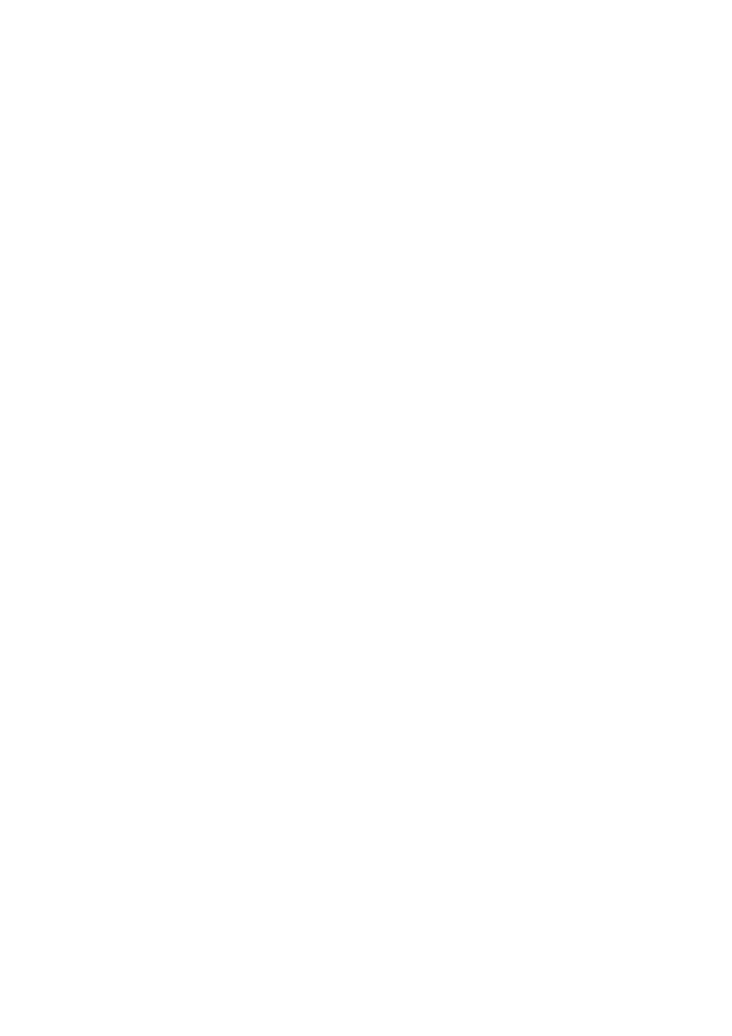| ---- |  |
|------|--|
|      |  |
|      |  |
|      |  |
|      |  |
|      |  |
|      |  |
|      |  |
|      |  |
|      |  |
|      |  |
|      |  |
|      |  |
|      |  |
|      |  |
|      |  |
|      |  |
|      |  |
|      |  |
|      |  |
|      |  |
|      |  |
|      |  |
|      |  |
|      |  |
|      |  |
|      |  |
|      |  |
|      |  |
|      |  |
|      |  |
|      |  |
|      |  |
|      |  |
|      |  |
|      |  |
|      |  |
|      |  |
|      |  |
|      |  |
|      |  |
|      |  |
|      |  |
|      |  |
|      |  |
|      |  |
|      |  |
|      |  |
|      |  |
|      |  |
|      |  |
|      |  |
|      |  |
|      |  |
|      |  |
|      |  |
|      |  |
|      |  |
|      |  |

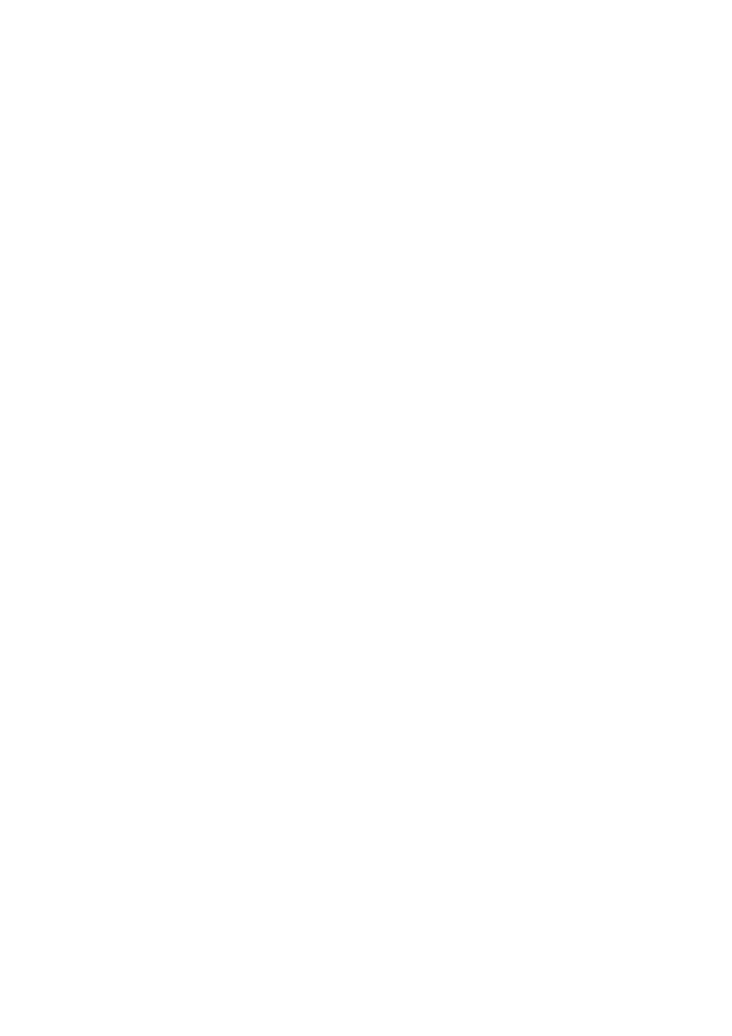| ---- |  |
|------|--|
|      |  |
|      |  |
|      |  |
|      |  |
|      |  |
|      |  |
|      |  |
|      |  |
|      |  |
|      |  |
|      |  |
|      |  |
|      |  |
|      |  |
|      |  |
|      |  |
|      |  |
|      |  |
|      |  |
|      |  |
|      |  |
|      |  |
|      |  |
|      |  |
|      |  |
|      |  |
|      |  |
|      |  |
|      |  |
|      |  |
|      |  |
|      |  |
|      |  |
|      |  |
|      |  |
|      |  |
|      |  |
|      |  |
|      |  |
|      |  |
|      |  |
|      |  |
|      |  |
|      |  |
|      |  |
|      |  |
|      |  |
|      |  |
|      |  |
|      |  |
|      |  |
|      |  |
|      |  |
|      |  |
|      |  |
|      |  |
|      |  |
|      |  |

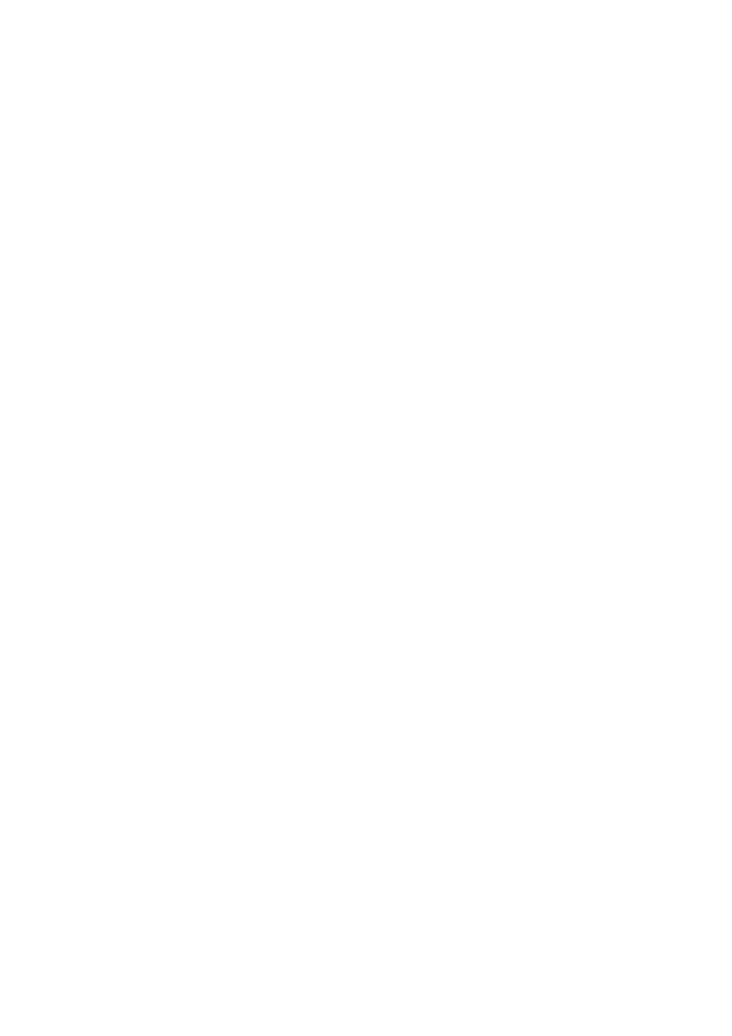| ---- |  |
|------|--|
|      |  |
|      |  |
|      |  |
|      |  |
|      |  |
|      |  |
|      |  |
|      |  |
|      |  |
|      |  |
|      |  |
|      |  |
|      |  |
|      |  |
|      |  |
|      |  |
|      |  |
|      |  |
|      |  |
|      |  |
|      |  |
|      |  |
|      |  |
|      |  |
|      |  |
|      |  |
|      |  |
|      |  |
|      |  |
|      |  |
|      |  |
|      |  |
|      |  |
|      |  |
|      |  |
|      |  |
|      |  |
|      |  |
|      |  |
|      |  |
|      |  |
|      |  |
|      |  |
|      |  |
|      |  |
|      |  |
|      |  |
|      |  |
|      |  |
|      |  |
|      |  |
|      |  |
|      |  |
|      |  |
|      |  |
|      |  |
|      |  |
|      |  |

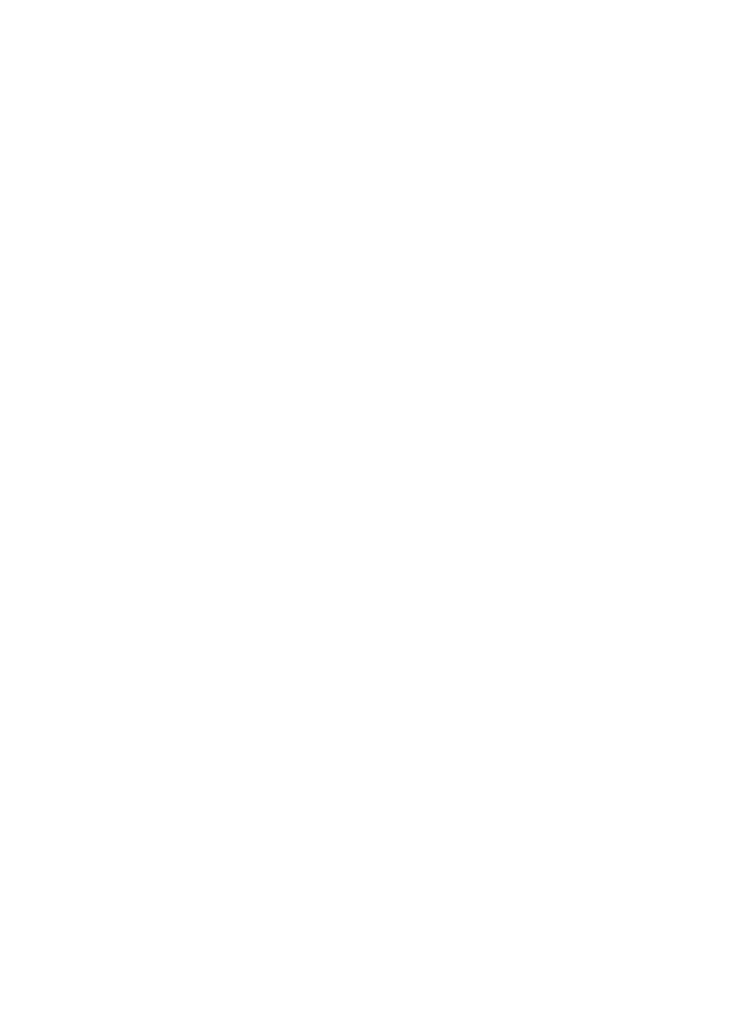| ---- |  |
|------|--|
|      |  |
|      |  |
|      |  |
|      |  |
|      |  |
|      |  |
|      |  |
|      |  |
|      |  |
|      |  |
|      |  |
|      |  |
|      |  |
|      |  |
|      |  |
|      |  |
|      |  |
|      |  |
|      |  |
|      |  |
|      |  |
|      |  |
|      |  |
|      |  |
|      |  |
|      |  |
|      |  |
|      |  |
|      |  |
|      |  |
|      |  |
|      |  |
|      |  |
|      |  |
|      |  |
|      |  |
|      |  |
|      |  |
|      |  |
|      |  |
|      |  |
|      |  |
|      |  |
|      |  |
|      |  |
|      |  |
|      |  |
|      |  |
|      |  |
|      |  |
|      |  |
|      |  |
|      |  |
|      |  |
|      |  |
|      |  |
|      |  |
|      |  |

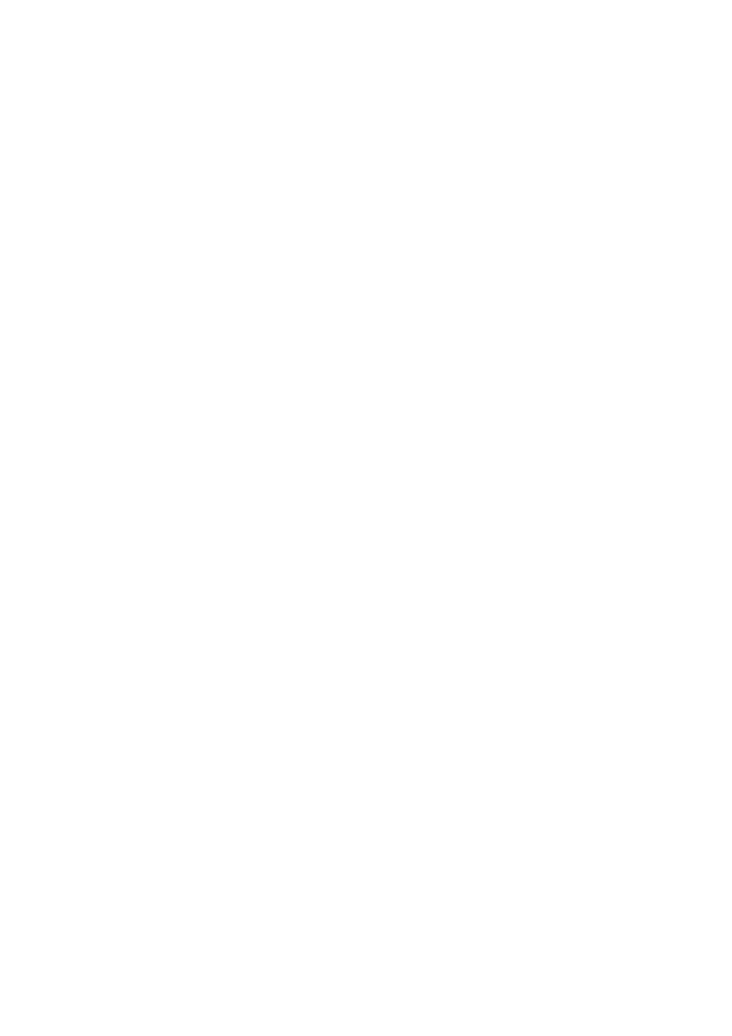| ---- |  |
|------|--|
|      |  |
|      |  |
|      |  |
|      |  |
|      |  |
|      |  |
|      |  |
|      |  |
|      |  |
|      |  |
|      |  |
|      |  |
|      |  |
|      |  |
|      |  |
|      |  |
|      |  |
|      |  |
|      |  |
|      |  |
|      |  |
|      |  |
|      |  |
|      |  |
|      |  |
|      |  |
|      |  |
|      |  |
|      |  |
|      |  |
|      |  |
|      |  |
|      |  |
|      |  |
|      |  |
|      |  |
|      |  |
|      |  |
|      |  |
|      |  |
|      |  |
|      |  |
|      |  |
|      |  |
|      |  |
|      |  |
|      |  |
|      |  |
|      |  |
|      |  |
|      |  |
|      |  |
|      |  |
|      |  |
|      |  |
|      |  |
|      |  |
|      |  |

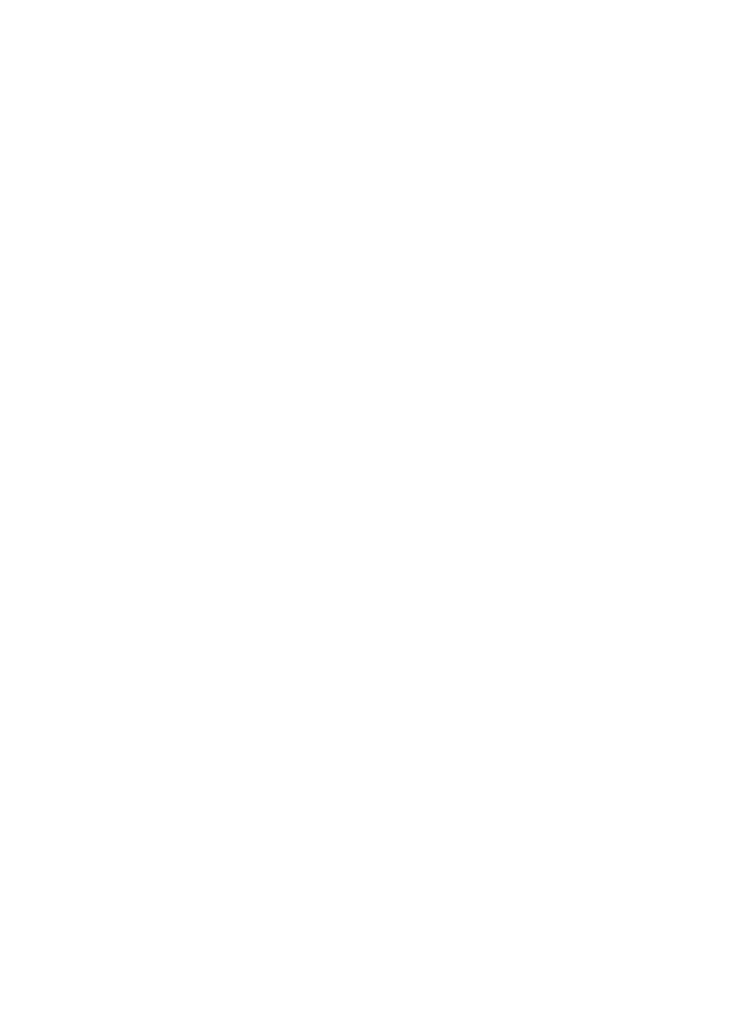| ---- |  |
|------|--|
|      |  |
|      |  |
|      |  |
|      |  |
|      |  |
|      |  |
|      |  |
|      |  |
|      |  |
|      |  |
|      |  |
|      |  |
|      |  |
|      |  |
|      |  |
|      |  |
|      |  |
|      |  |
|      |  |
|      |  |
|      |  |
|      |  |
|      |  |
|      |  |
|      |  |
|      |  |
|      |  |
|      |  |
|      |  |
|      |  |
|      |  |
|      |  |
|      |  |
|      |  |
|      |  |
|      |  |
|      |  |
|      |  |
|      |  |
|      |  |
|      |  |
|      |  |
|      |  |
|      |  |
|      |  |
|      |  |
|      |  |
|      |  |
|      |  |
|      |  |
|      |  |
|      |  |
|      |  |
|      |  |
|      |  |
|      |  |
|      |  |
|      |  |

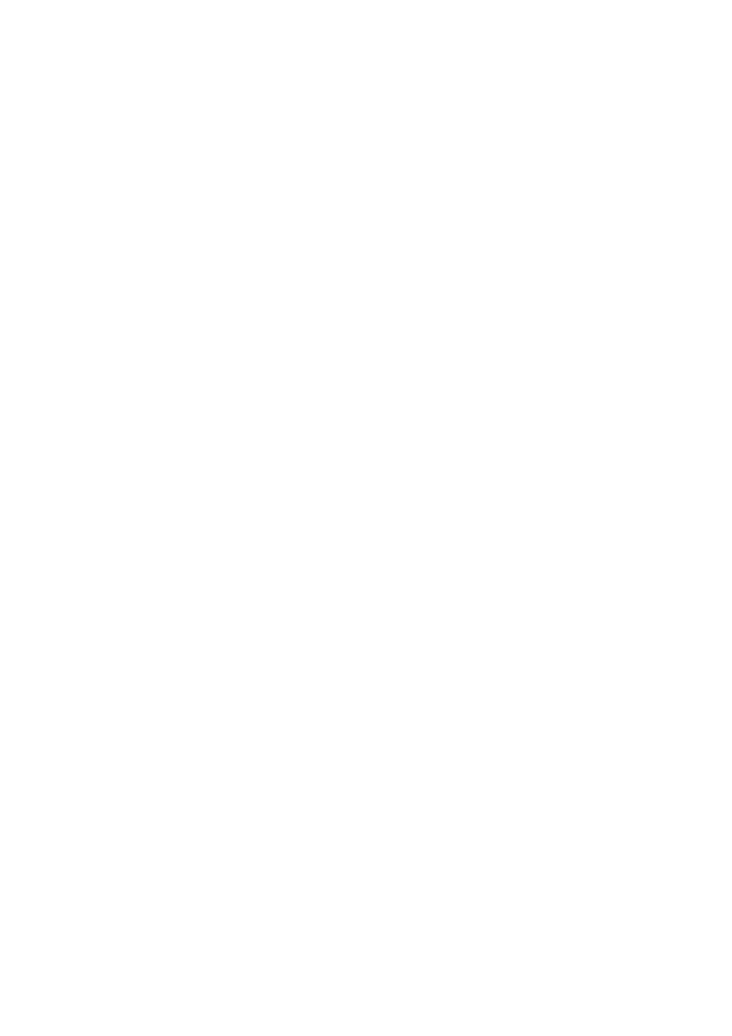| ---- |  |
|------|--|
|      |  |
|      |  |
|      |  |
|      |  |
|      |  |
|      |  |
|      |  |
|      |  |
|      |  |
|      |  |
|      |  |
|      |  |
|      |  |
|      |  |
|      |  |
|      |  |
|      |  |
|      |  |
|      |  |
|      |  |
|      |  |
|      |  |
|      |  |
|      |  |
|      |  |
|      |  |
|      |  |
|      |  |
|      |  |
|      |  |
|      |  |
|      |  |
|      |  |
|      |  |
|      |  |
|      |  |
|      |  |
|      |  |
|      |  |
|      |  |
|      |  |
|      |  |
|      |  |
|      |  |
|      |  |
|      |  |
|      |  |
|      |  |
|      |  |
|      |  |
|      |  |
|      |  |
|      |  |
|      |  |
|      |  |
|      |  |
|      |  |
|      |  |

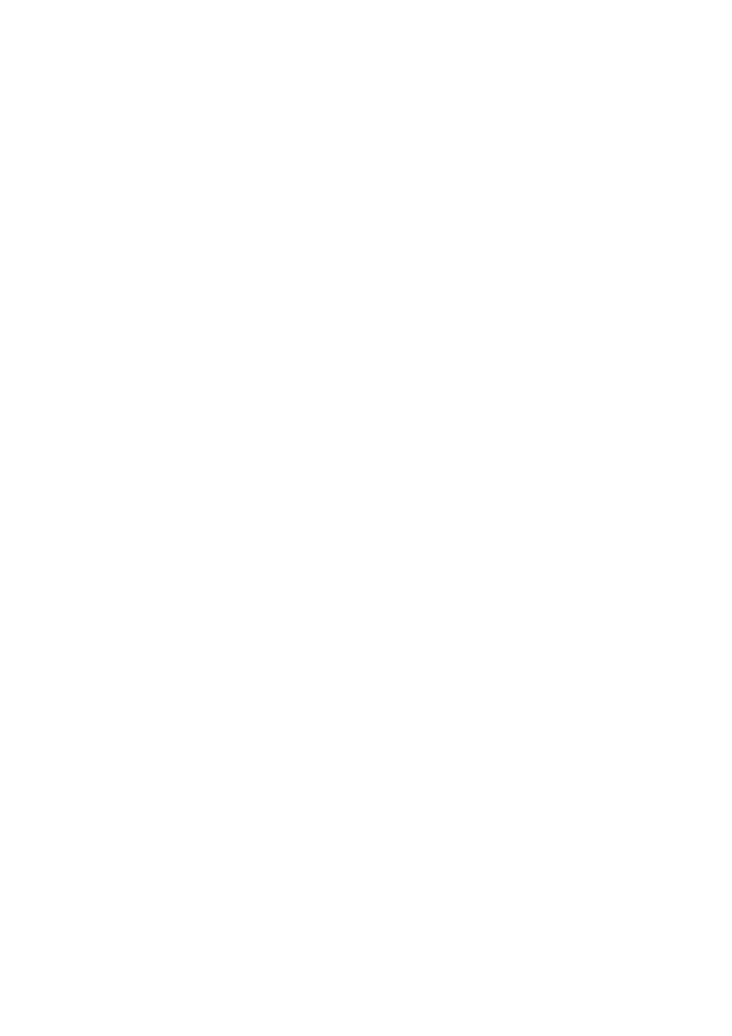| ---- |  |
|------|--|
|      |  |
|      |  |
|      |  |
|      |  |
|      |  |
|      |  |
|      |  |
|      |  |
|      |  |
|      |  |
|      |  |
|      |  |
|      |  |
|      |  |
|      |  |
|      |  |
|      |  |
|      |  |
|      |  |
|      |  |
|      |  |
|      |  |
|      |  |
|      |  |
|      |  |
|      |  |
|      |  |
|      |  |
|      |  |
|      |  |
|      |  |
|      |  |
|      |  |
|      |  |
|      |  |
|      |  |
|      |  |
|      |  |
|      |  |
|      |  |
|      |  |
|      |  |
|      |  |
|      |  |
|      |  |
|      |  |
|      |  |
|      |  |
|      |  |
|      |  |
|      |  |
|      |  |
|      |  |
|      |  |
|      |  |
|      |  |
|      |  |
|      |  |

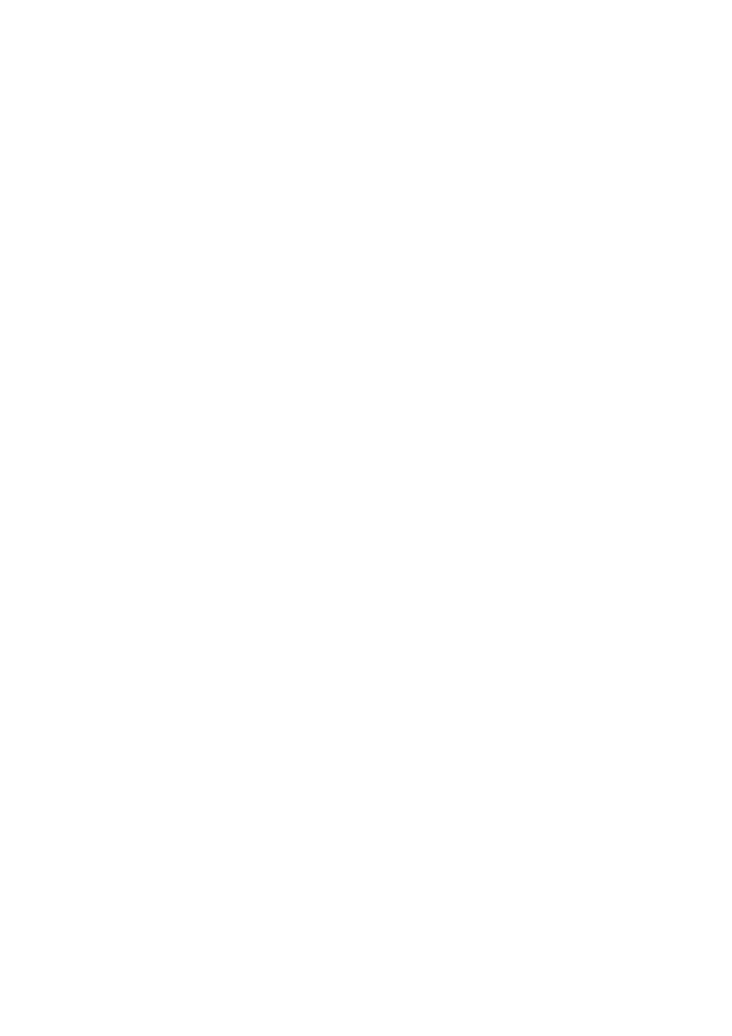| ---- |  |
|------|--|
|      |  |
|      |  |
|      |  |
|      |  |
|      |  |
|      |  |
|      |  |
|      |  |
|      |  |
|      |  |
|      |  |
|      |  |
|      |  |
|      |  |
|      |  |
|      |  |
|      |  |
|      |  |
|      |  |
|      |  |
|      |  |
|      |  |
|      |  |
|      |  |
|      |  |
|      |  |
|      |  |
|      |  |
|      |  |
|      |  |
|      |  |
|      |  |
|      |  |
|      |  |
|      |  |
|      |  |
|      |  |
|      |  |
|      |  |
|      |  |
|      |  |
|      |  |
|      |  |
|      |  |
|      |  |
|      |  |
|      |  |
|      |  |
|      |  |
|      |  |
|      |  |
|      |  |
|      |  |
|      |  |
|      |  |
|      |  |
|      |  |
|      |  |

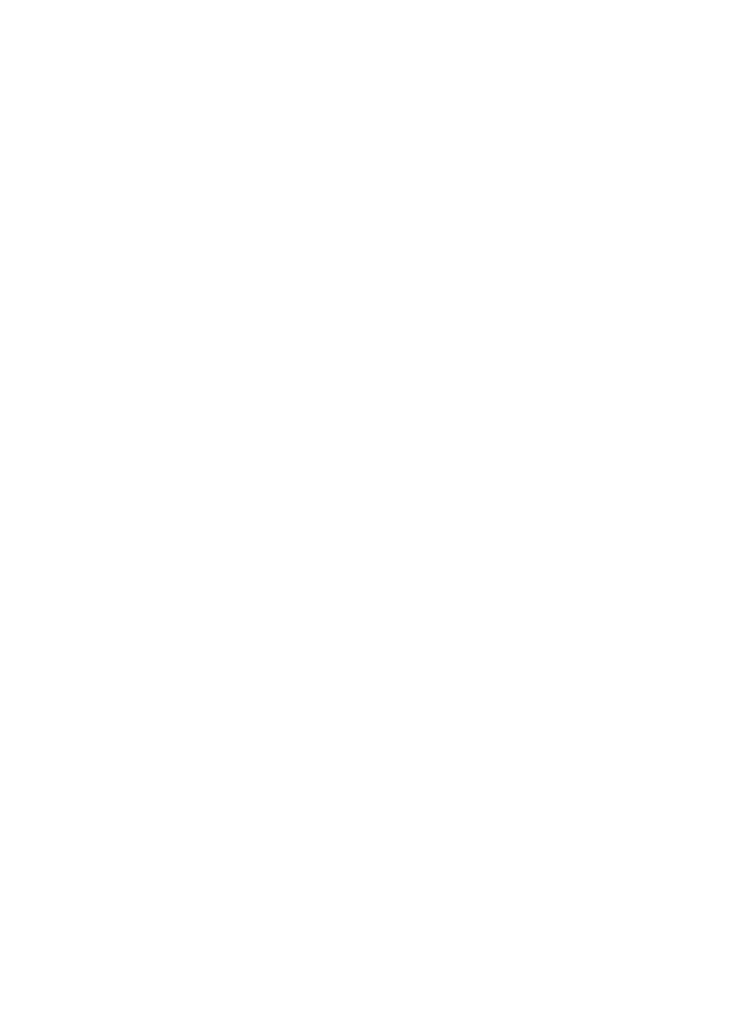| ---- |  |
|------|--|
|      |  |
|      |  |
|      |  |
|      |  |
|      |  |
|      |  |
|      |  |
|      |  |
|      |  |
|      |  |
|      |  |
|      |  |
|      |  |
|      |  |
|      |  |
|      |  |
|      |  |
|      |  |
|      |  |
|      |  |
|      |  |
|      |  |
|      |  |
|      |  |
|      |  |
|      |  |
|      |  |
|      |  |
|      |  |
|      |  |
|      |  |
|      |  |
|      |  |
|      |  |
|      |  |
|      |  |
|      |  |
|      |  |
|      |  |
|      |  |
|      |  |
|      |  |
|      |  |
|      |  |
|      |  |
|      |  |
|      |  |
|      |  |
|      |  |
|      |  |
|      |  |
|      |  |
|      |  |
|      |  |
|      |  |
|      |  |
|      |  |
|      |  |